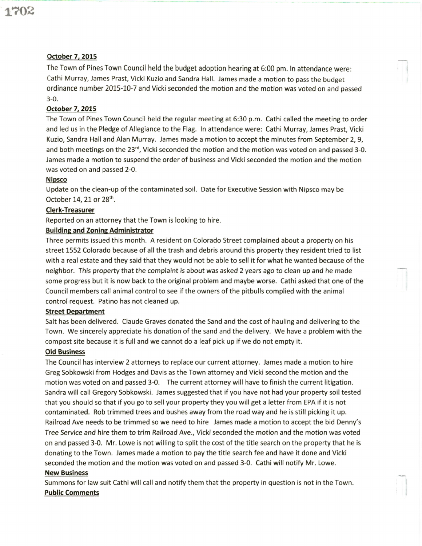# October 7, 2015

The Town of Pines Town Council held the budget adoption hearing at 6:00 pm. ln attendance were: Cathi Murray, James Prast, Vicki Kuzio and Sandra Hall. James made a motion to pass the budget ordinance number 2015-10-7 and Vicki seconded the motion and the motion was voted on and passed 3-0.

# October 7, 2015

The Town of Pines Town Council held the regular meeting at 5:30 p.m. Cathi called the meeting to order and led us in the Pledge of Allegiance to the Flag. ln attendance were: Cathi Murray, James Prast, Vicki Kuzio, Sandra Hall and Alan Murray. James made a motion to accept the minutes from September 2,9, and both meetings on the 23<sup>rd</sup>, Vicki seconded the motion and the motion was voted on and passed 3-0. James made a motion to suspend the order of business and Vicki seconded the motion and the motion was voted on and passed 2-0.

#### Nipsco

Update on the clean-up of the contaminated soil. Date for Executive Session with Nipsco may be October 14, 21 or  $28<sup>th</sup>$ .

## Clerk-Treasurer

Reported on an attorney that the Town is looking to hire.

## **Building and Zoning Administrator**

Three permits issued this month. A resident on Colorado Street complained about a property on his street 1552 Colorado because of all the trash and debris around this property they resident tried to list with a real estate and they said that they would not be able to sell it for what he wanted because of the neighbor. This property that the complaint is about was asked 2 years ago to clean up and he made some progress but it is now back to the original problem and maybe worse. Cathi asked that one of the Council members call animal control to see if the owners of the pitbulls complied with the animal control request. Patino has not cleaned up.

#### **Street Department**

Salt has been delivered. Claude Graves donated the Sand and the cost of hauling and delivering to the Town. We sincerely appreciate his donation of the sand and the delivery. We have a problem with the compost site because it is full and we cannot do a leaf pick up if we do not empty it.

## Old Business

The Council has interview 2 attorneys to replace our current attorney. James made a motion to hire Greg Sobkowski from Hodges and Davis as the Town attorney and Vicki second the motion and the motion was voted on and passed 3-0. The current attorney will have to finish the current litigation. Sandra will call Gregory Sobkowski. James suggested that if you have not had your property soil tested that you should so that if you go to sell your property they you will get a letter from EPA if it is not contaminated. Rob trimmed trees and bushes away from the road way and he is still picking it up. Railroad Ave needs to be trimmed so we need to hire James made a motion to accept the bid Denny's Tree Service and hire them to trim Railroad Ave., Vickiseconded the motion and the motion was voted on and passed 3-0. Mr. Lowe is not willing to split the cost of the title search on the property that he is donating to the Town. James made a motion to pay the title search fee and have it done and Vicki seconded the motion and the motion was voted on and passed 3-0. Cathi will notify Mr. Lowe.

#### New Business

Summons for law suit Cathi will call and notify them that the property in question is not in the Town. Public Comments